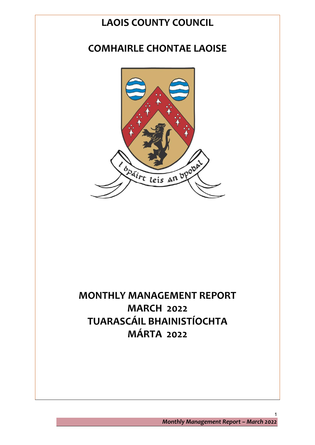# **LAOIS COUNTY COUNCIL**

# **COMHAIRLE CHONTAE LAOISE**



# **MONTHLY MANAGEMENT REPORT MARCH 2022 TUARASCÁIL BHAINISTÍOCHTA MÁRTA 2022**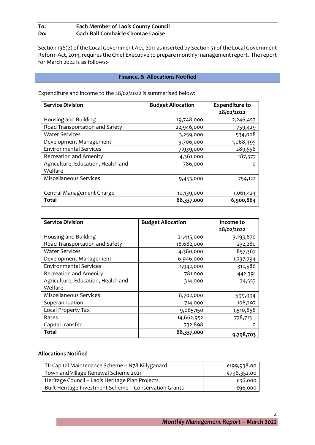# **To: Each Member of Laois County Council Do: Gach Ball Comhairle Chontae Laoise**

Section 136(2) of the Local Government Act, 2011 as inserted by Section 51 of the Local Government Reform Act, 2014, requires the Chief Executive to prepare monthly management report. The report for March 2022 is as follows:-

#### **Finance, & Allocations Notified**

Expenditure and income to the 28/02/2022 is summarised below:

| <b>Service Division</b>                       | <b>Budget Allocation</b> | <b>Expenditure to</b><br>28/02/2022 |
|-----------------------------------------------|--------------------------|-------------------------------------|
| Housing and Building                          | 19,748,000               | 2,246,453                           |
| Road Transportation and Safety                | 22,946,000               | 759,429                             |
| <b>Water Services</b>                         | 3,259,000                | 534,008                             |
| Development Management                        | 9,706,000                | 1,068,495                           |
| <b>Environmental Services</b>                 | 7,939,000                | 289,556                             |
| <b>Recreation and Amenity</b>                 | 4,361,000                | 187,377                             |
| Agriculture, Education, Health and<br>Welfare | 786,000                  | $\Omega$                            |
| Miscellaneous Services                        | 9,453,000                | 754,122                             |
| Central Management Charge                     | 10,139,000               | 1,061,424                           |
| Total                                         | 88,337,000               | 6,900,864                           |

| <b>Service Division</b>            | <b>Budget Allocation</b> | Income to<br>28/02/2022 |
|------------------------------------|--------------------------|-------------------------|
|                                    |                          |                         |
| Housing and Building               | 21,415,000               | 3,193,870               |
| Road Transportation and Safety     | 18,682,000               | 232,280                 |
| <b>Water Services</b>              | 4,380,000                | 857,367                 |
| Development Management             | 6,946,000                | 1,737,794               |
| <b>Environmental Services</b>      | 1,942,000                | 312,586                 |
| <b>Recreation and Amenity</b>      | 781,000                  | 442,391                 |
| Agriculture, Education, Health and | 314,000                  | 24,553                  |
| Welfare                            |                          |                         |
| Miscellaneous Services             | 8,702,000                | 599,994                 |
| Superannuation                     | 714,000                  | 108,297                 |
| Local Property Tax                 | 9,065,150                | 1,510,858               |
| Rates                              | 14,662,952               | 778,713                 |
| Capital transfer                   | 732,898                  | O                       |
| Total                              | 88,337,000               | 9,798,703               |

#### **Allocations Notified**

| TII Capital Maintenance Scheme - N78 Killyganard       | €199,938.00 |
|--------------------------------------------------------|-------------|
| Town and Village Renewal Scheme 2021                   | €796,352.00 |
| Heritage Council - Laois Heritage Plan Projects        | €36,000     |
| Built Heritage Investment Scheme - Conservation Grants | €96,000     |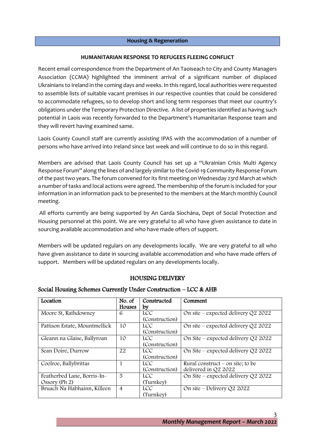#### **Housing & Regeneration**

#### **HUMANITARIAN RESPONSE TO REFUGEES FLEEING CONFLICT**

Recent email correspondence from the Department of An Taoiseach to City and County Managers Association (CCMA) highlighted the imminent arrival of a significant number of displaced Ukrainians to Ireland in the coming days and weeks. In this regard, local authorities were requested to assemble lists of suitable vacant premises in our respective counties that could be considered to accommodate refugees, so to develop short and long term responses that meet our country's obligations under the Temporary Protection Directive. A list of properties identified as having such potential in Laois was recently forwarded to the Department's Humanitarian Response team and they will revert having examined same.

Laois County Council staff are currently assisting IPAS with the accommodation of a number of persons who have arrived into Ireland since last week and will continue to do so in this regard.

Members are advised that Laois County Council has set up a "Ukrainian Crisis Multi Agency Response Forum" along the lines of and largely similar to the Covid-19 Community Response Forum of the past two years. The forum convened for its first meeting on Wednesday 23rd March at which a number of tasks and local actions were agreed. The membership of the forum is included for your information in an information pack to be presented to the members at the March monthly Council meeting.

All efforts currently are being supported by An Garda Síochána, Dept of Social Protection and Housing personnel at this point. We are very grateful to all who have given assistance to date in sourcing available accommodation and who have made offers of support.

Members will be updated regulars on any developments locally. We are very grateful to all who have given assistance to date in sourcing available accommodation and who have made offers of support. Members will be updated regulars on any developments locally.

# HOUSING DELIVERY

#### Social Housing Schemes Currently Under Construction – LCC & AHB

| Location                      | No. of         | Constructed    | Comment                               |
|-------------------------------|----------------|----------------|---------------------------------------|
|                               | Houses         | by             |                                       |
| Moore St, Rathdowney          | 6              | <b>LCC</b>     | On site – expected delivery $Q2$ 2022 |
|                               |                | (Construction) |                                       |
| Pattison Estate, Mountmellick | 10             | LCC.           | On site – expected delivery $Q2$ 2022 |
|                               |                | (Construction) |                                       |
| Gleann na Glaise, Ballyroan   | 10             | <b>LCC</b>     | On Site – expected delivery $Q2$ 2022 |
|                               |                | (Construction) |                                       |
| Sean Doire, Durrow            | 22             | LCC.           | On Site – expected delivery $Q2$ 2022 |
|                               |                | (Construction) |                                       |
| Coolroe, Ballybrittas         |                | LCC.           | Rural construct $-$ on site; to be    |
|                               |                | (Construction) | delivered in Q2 2022                  |
| Featherbed Lane, Borris-In-   | 5              | LCC.           | On Site – expected delivery $Q2$ 2022 |
| Ossory (Ph 2)                 |                | (Turnkey)      |                                       |
| Bruach Na Habhainn, Killeen   | $\overline{4}$ | LCC            | On site – Delivery Q2 2022            |
|                               |                | (Turnkey)      |                                       |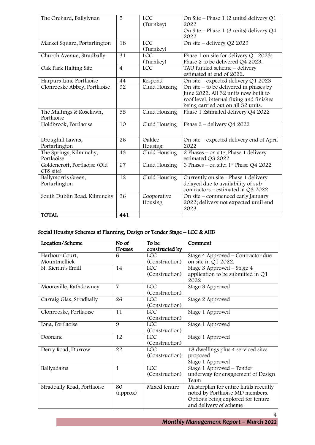| The Orchard, Ballylynan      | 5               | <b>LCC</b>    | On Site – Phase 1 (2 units) delivery $Q1$         |
|------------------------------|-----------------|---------------|---------------------------------------------------|
|                              |                 | (Turnkey)     | 2022<br>On Site – Phase 1 (3 units) delivery $Q4$ |
|                              |                 |               | 2022                                              |
| Market Square, Portarlington | 18              | <b>LCC</b>    | On site – delivery $Q2$ 2023                      |
|                              |                 | (Turnkey)     |                                                   |
| Church Avenue, Stradbally    | $\overline{31}$ | <b>LCC</b>    | Phase 1 on site for delivery Q1 2023;             |
|                              |                 | (Turnkey)     | Phase 2 to be delivered Q4 2023.                  |
| Oak Park Halting Site        | $\overline{4}$  | <b>LCC</b>    | TAU funded scheme - delivery                      |
|                              |                 |               | estimated at end of 2022.                         |
| Harpurs Lane Portlaoise      | 44              | Respond       | On site – expected delivery $Q1$ 2023             |
| Clonrooske Abbey, Portlaoise | 32              | Cluid Housing | On site $-$ to be delivered in phases by          |
|                              |                 |               | June 2022. All 32 units now built to              |
|                              |                 |               | roof level, internal fixing and finishes          |
|                              |                 |               | being carried out on all 32 units.                |
| The Maltings & Roselawn,     | 55              | Cluid Housing | Phase 1 Estimated delivery Q4 2022                |
| Portlaoise                   |                 |               |                                                   |
| Holdbrook, Portlaoise        | 10              | Cluid Housing | Phase $2$ – delivery Q4 2022                      |
|                              |                 |               |                                                   |
| Droughill Lawns,             | 26              | Oaklee        | On site – expected delivery end of April          |
| Portarlington                |                 | Housing       | 2022                                              |
| The Springs, Kilminchy,      | 43              | Cluid Housing | 2 Phases – on site; Phase 1 delivery              |
| Portlaoise                   |                 |               | estimated Q3 2022                                 |
| Goldencroft, Portlaoise (Old | 67              | Cluid Housing | 3 Phases – on site; 1 <sup>st</sup> Phase Q4 2022 |
| CBS site)                    |                 |               |                                                   |
| Ballymorris Green,           | 12              | Cluid Housing | Currently on site - Phase 1 delivery              |
| Portarlington                |                 |               | delayed due to availability of sub-               |
|                              |                 |               | contractors - estimated at Q3 2022                |
| South Dublin Road, Kilminchy | 36              | Cooperative   | On site – commenced early January                 |
|                              |                 | Housing       | 2022; delivery not expected until end<br>2023.    |
| <b>TOTAL</b>                 | 441             |               |                                                   |

# Social Housing Schemes at Planning, Design or Tender Stage – LCC & AHB

| Location/Scheme             | No of          | To be                        | Comment                                                           |
|-----------------------------|----------------|------------------------------|-------------------------------------------------------------------|
|                             | Houses         | constructed by               |                                                                   |
| Harbour Court,              | 6              | <b>LCC</b>                   | Stage 4 Approved – Contractor due                                 |
| Mountmellick                |                | (Construction)               | on site in Q1 2022.                                               |
| St. Kieran's Errill         | 14             | <b>LCC</b><br>(Construction) | Stage 3 Approved – Stage 4<br>application to be submitted in $Q1$ |
|                             |                |                              | 2022                                                              |
| Mooreville, Rathdowney      | $\overline{7}$ | <b>LCC</b>                   | Stage 3 Approved                                                  |
|                             |                | (Construction)               |                                                                   |
| Carraig Glas, Stradbally    | 26             | LCC                          | Stage 2 Approved                                                  |
|                             |                | (Construction)               |                                                                   |
| Clonrooske, Portlaoise      | 11             | <b>LCC</b>                   | Stage 1 Approved                                                  |
|                             |                | (Construction)               |                                                                   |
| Iona, Portlaoise            | 9              | <b>LCC</b>                   | Stage 1 Approved                                                  |
|                             |                | (Construction)               |                                                                   |
| Doonane                     | 12             | <b>LCC</b>                   | Stage 1 Approved                                                  |
|                             |                | (Construction)               |                                                                   |
| Derry Road, Durrow          | 22             | <b>LCC</b>                   | 18 dwellings plus 4 serviced sites                                |
|                             |                | (Construction)               | proposed                                                          |
|                             |                |                              | Stage 1 Approved                                                  |
| Ballyadams                  | 1              | <b>LCC</b>                   | Stage 1 Approved – Tender                                         |
|                             |                | (Construction)               | underway for engagement of Design                                 |
|                             |                |                              | Team                                                              |
| Stradbally Road, Portlaoise | 80             | Mixed tenure                 | Masterplan for entire lands recently                              |
|                             | (approx)       |                              | noted by Portlaoise MD members.                                   |
|                             |                |                              | Options being explored for tenure                                 |
|                             |                |                              | and delivery of scheme                                            |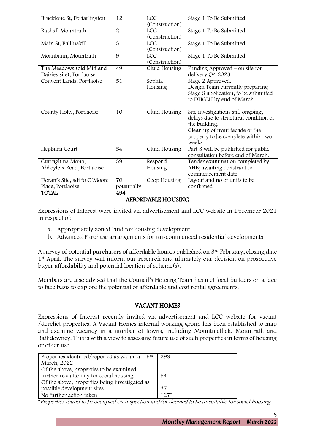| Bracklone St, Portarlington                           | 12                | <b>LCC</b><br>(Construction) | Stage 1 To Be Submitted                                                                                                                                                         |
|-------------------------------------------------------|-------------------|------------------------------|---------------------------------------------------------------------------------------------------------------------------------------------------------------------------------|
| Rushall Mountrath                                     | $\overline{2}$    | <b>LCC</b><br>(Construction) | Stage 1 To Be Submitted                                                                                                                                                         |
| Main St, Ballinakill                                  | $\overline{3}$    | <b>LCC</b><br>(Construction) | Stage 1 To Be Submitted                                                                                                                                                         |
| Moanbaun, Mountrath                                   | 9                 | <b>LCC</b><br>(Construction) | Stage 1 To Be Submitted                                                                                                                                                         |
| The Meadows (old Midland<br>Dairies site), Portlaoise | 49                | Cluid Housing                | Funding Approved $-$ on site for<br>delivery Q4 2023                                                                                                                            |
| Convent Lands, Portlaoise                             | 51                | Sophia<br>Housing            | Stage 2 Approved.<br>Design Team currently preparing<br>Stage 3 application, to be submitted<br>to DHGLH by end of March.                                                       |
| County Hotel, Portlaoise                              | 10                | Cluid Housing                | Site investigations still ongoing,<br>delays due to structural condition of<br>the building.<br>Clean up of front facade of the<br>property to be complete within two<br>weeks. |
| Hepburn Court                                         | 54                | Cluid Housing                | Part 8 will be published for public<br>consultation before end of March.                                                                                                        |
| Curragh na Mona,<br>Abbeyleix Road, Portlaoise        | 39                | Respond<br>Housing           | Tender examination completed by<br>AHB; awaiting construction<br>commencement date.                                                                                             |
| Doran's Site, adj to O'Moore<br>Place, Portlaoise     | 70<br>potentially | Coop Housing                 | Layout and no of units to be<br>confirmed                                                                                                                                       |
| TOTAL                                                 | 494               |                              |                                                                                                                                                                                 |

## AFFORDABLE HOUSING

Expressions of Interest were invited via advertisement and LCC website in December 2021 in respect of:

- a. Appropriately zoned land for housing development
- b. Advanced Purchase arrangements for un-commenced residential developments

A survey of potential purchasers of affordable houses published on 3rd February, closing date 1<sup>st</sup> April. The survey will inform our research and ultimately our decision on prospective buyer affordability and potential location of scheme(s).

Members are also advised that the Council's Housing Team has met local builders on a face to face basis to explore the potential of affordable and cost rental agreements.

# VACANT HOMES

Expressions of Interest recently invited via advertisement and LCC website for vacant /derelict properties. A Vacant Homes internal working group has been established to map and examine vacancy in a number of towns, including Mountmellick, Mountrath and Rathdowney. This is with a view to assessing future use of such properties in terms of housing or other use.

| 293    |
|--------|
|        |
|        |
| 54     |
|        |
| 37     |
| $127*$ |
|        |

\*Properties found to be occupied on inspection and/or deemed to be unsuitable for social housing.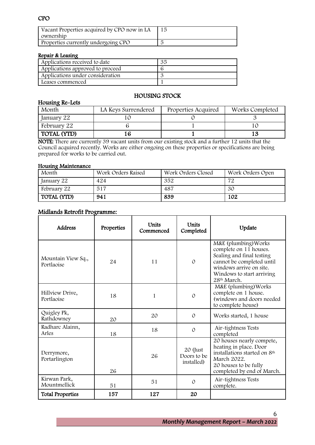# CPO

| Vacant Properties acquired by CPO now in LA<br>ownership |  |
|----------------------------------------------------------|--|
| Properties currently undergoing CPO                      |  |

## Repair & Leasing

Housing Re-Lets

| Applications received to date    | 35 |
|----------------------------------|----|
| Applications approved to proceed |    |
| Applications under consideration |    |
| Leases commenced                 |    |

# HOUSING STOCK

| Month              | LA Keys Surrendered | Properties Acquired | Works Completed |
|--------------------|---------------------|---------------------|-----------------|
| January 22         |                     |                     |                 |
| February 22        |                     |                     |                 |
| <b>TOTAL (YTD)</b> |                     |                     |                 |

NOTE: There are currently 39 vacant units from our existing stock and a further 12 units that the Council acquired recently. Works are either ongoing on these properties or specifications are being prepared for works to be carried out.

#### Housing Maintenance

| Month              | Work Orders Raised | Work Orders Closed | Work Orders Open |
|--------------------|--------------------|--------------------|------------------|
| January 22         | 424                | 352                | 72               |
| February 22        | 517                | 487                | 30               |
| <b>TOTAL (YTD)</b> | 941                | 839                | 102              |

## Midlands Retrofit Programme:

| Address                          | Properties | <b>Units</b><br>Commenced | <b>Units</b><br>Completed             | Update                                                                                                                                                                                      |
|----------------------------------|------------|---------------------------|---------------------------------------|---------------------------------------------------------------------------------------------------------------------------------------------------------------------------------------------|
| Mountain View Sq.,<br>Portlaoise | 24         | 11                        | $\Omega$                              | M&E (plumbing) Works<br>complete on 11 houses.<br>Sealing and final testing<br>cannot be completed until<br>windows arrive on site.<br>Windows to start arriving<br>28 <sup>th</sup> March. |
| Hillview Drive,<br>Portlaoise    | 18         | 1                         | $\mathcal{O}$                         | M&E (plumbing) Works<br>complete on 1 house.<br>(windows and doors needed)<br>to complete house)                                                                                            |
| Quigley Pk,<br>Rathdowney        | 20         | 20                        | $\Omega$                              | Works started, 1 house                                                                                                                                                                      |
| Radharc Alainn,<br>Arles         | 18         | 18                        | $\Omega$                              | Air-tightness Tests<br>completed                                                                                                                                                            |
| Derrymore,<br>Portarlington      | 26         | 26                        | 20 (Just<br>Doors to be<br>installed) | 20 houses nearly compete,<br>heating in place. Door<br>installations started on 8th<br>March 2022.<br>20 houses to be fully<br>completed by end of March.                                   |
| Kirwan Park,<br>Mountmellick     | 51         | 51                        | $\Omega$                              | Air-tightness Tests<br>complete.                                                                                                                                                            |
| <b>Total Properties</b>          | 157        | 127                       | 20                                    |                                                                                                                                                                                             |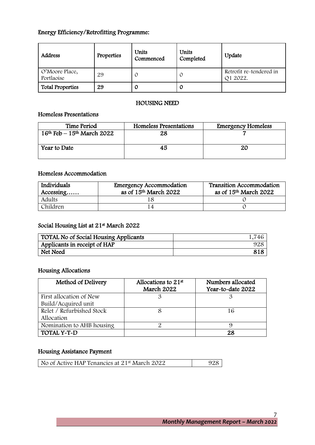# Energy Efficiency/Retrofitting Programme:

| Address                      | Properties | Units<br>Commenced | Units<br>Completed | Update                              |
|------------------------------|------------|--------------------|--------------------|-------------------------------------|
| O'Moore Place,<br>Portlaoise | 29         | C                  | O                  | Retrofit re-tendered in<br>Q1 2022. |
| <b>Total Properties</b>      | 29         | O                  | 0                  |                                     |

## HOUSING NEED

# Homeless Presentations

| Time Period                    | Homeless Presentations | <b>Emergency Homeless</b> |
|--------------------------------|------------------------|---------------------------|
| $16th$ Feb – $15th$ March 2022 | 28                     |                           |
| Year to Date                   | 45                     | 2С                        |

# Homeless Accommodation

| Individuals<br>Accessing | <b>Emergency Accommodation</b><br>as of 15 <sup>th</sup> March 2022 | <b>Transition Accommodation</b><br>as of 15 <sup>th</sup> March 2022 |
|--------------------------|---------------------------------------------------------------------|----------------------------------------------------------------------|
| Adults                   |                                                                     |                                                                      |
| Children                 |                                                                     |                                                                      |

## Social Housing List at 21st March 2022

| TOTAL No of Social Housing Applicants | 1,746 |
|---------------------------------------|-------|
| Applicants in receipt of HAP          | 928   |
| Net Need                              | 818   |

# Housing Allocations

| Method of Delivery        | Allocations to $21st$<br>March 2022 | Numbers allocated<br>Year-to-date 2022 |
|---------------------------|-------------------------------------|----------------------------------------|
| First allocation of New   |                                     |                                        |
| Build/Acquired unit       |                                     |                                        |
| Relet / Refurbished Stock |                                     | 16                                     |
| Allocation                |                                     |                                        |
| Nomination to AHB housing |                                     |                                        |
| TOTAL Y-T-D               |                                     | 28                                     |

# Housing Assistance Payment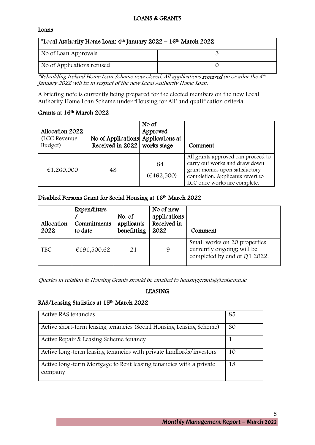# LOANS & GRANTS

#### Loans

| *Local Authority Home Loan: $4th$ January 2022 – 16 <sup>th</sup> March 2022 |  |  |  |
|------------------------------------------------------------------------------|--|--|--|
| No of Loan Approvals                                                         |  |  |  |
| No of Applications refused                                                   |  |  |  |

\*Rebuilding Ireland Home Loan Scheme now closed. All applications received on or after the 4<sup>th</sup> January 2022 will be in respect of the new Local Authority Home Loan.

A briefing note is currently being prepared for the elected members on the new Local Authority Home Loan Scheme under 'Housing for All' and qualification criteria.

## Grants at 16th March 2022

| Allocation 2022<br>(LCC Revenue)<br>Budget) | No of Applications Applications at<br>Received in 2022 works stage | No of<br>Approved | Comment                                                                                                                                                                   |
|---------------------------------------------|--------------------------------------------------------------------|-------------------|---------------------------------------------------------------------------------------------------------------------------------------------------------------------------|
| €1,260,000                                  | 48                                                                 | 84<br>(6462,500)  | All grants approved can proceed to<br>carry out works and draw down<br>grant monies upon satisfactory<br>completion. Applicants revert to<br>LCC once works are complete. |

## Disabled Persons Grant for Social Housing at 16th March 2022

| Allocation<br>2022 | Expenditure<br>Commitments<br>to date | No. of<br>applicants<br>benefitting | No of new<br>applications<br>Received in<br>2022 | Comment                                                                                    |
|--------------------|---------------------------------------|-------------------------------------|--------------------------------------------------|--------------------------------------------------------------------------------------------|
| <b>TBC</b>         | €191,500.62                           | 21                                  | 9                                                | Small works on 20 properties<br>currently ongoing; will be<br>completed by end of Q1 2022. |

Queries in relation to Housing Grants should be emailed t[o housinggrants@laoiscoco.ie](mailto:housinggrants@laoiscoco.ie)

# LEASING

# RAS/Leasing Statistics at 15th March 2022

| Active RAS tenancies                                                          | 85 |
|-------------------------------------------------------------------------------|----|
| Active short-term leasing tenancies (Social Housing Leasing Scheme)           | 30 |
| Active Repair & Leasing Scheme tenancy                                        |    |
| Active long-term leasing tenancies with private landlords/investors           | 10 |
| Active long-term Mortgage to Rent leasing tenancies with a private<br>company | 18 |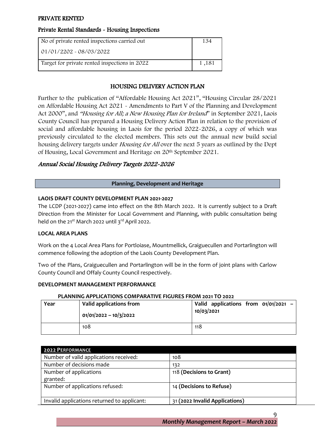## PRIVATE RENTED

## Private Rental Standards - Housing Inspections

| No of private rented inspections carried out  | 134   |
|-----------------------------------------------|-------|
| $01/01/2202 - 08/03/2022$                     |       |
| Target for private rented inspections in 2022 | 1,181 |

## HOUSING DELIVERY ACTION PLAN

Further to the publication of "Affordable Housing Act 2021", "Housing Circular 28/2021 on Affordable Housing Act 2021 - Amendments to Part V of the Planning and Development Act 2000", and "Housing for All; a New Housing Plan for Ireland" in September 2021, Laois County Council has prepared a Housing Delivery Action Plan in relation to the provision of social and affordable housing in Laois for the period 2022-2026, a copy of which was previously circulated to the elected members. This sets out the annual new build social housing delivery targets under Housing for All over the next 5 years as outlined by the Dept of Housing, Local Government and Heritage on 20th September 2021.

## Annual Social Housing Delivery Targets 2022-2026

#### **Planning, Development and Heritage**

#### **LAOIS DRAFT COUNTY DEVELOPMENT PLAN 2021-2027**

The LCDP (2021-2027) came into effect on the 8th March 2022. It is currently subject to a Draft Direction from the Minister for Local Government and Planning, with public consultation being held on the  $21^{st}$  March 2022 until  $3^{rd}$  April 2022.

#### **LOCAL AREA PLANS**

Work on the 4 Local Area Plans for Portloiase, Mountmellick, Graiguecullen and Portarlington will commence following the adoption of the Laois County Development Plan.

Two of the Plans, Graiguecullen and Portarlington will be in the form of joint plans with Carlow County Council and Offaly County Council respectively.

#### **DEVELOPMENT MANAGEMENT PERFORMANCE**

#### **PLANNING APPLICATIONS COMPARATIVE FIGURES FROM 2021 TO 2022**

| Year | Valid applications from<br>$01/01/2022 - 10/3/2022$ | Valid applications from $01/01/2021$ -<br>10/03/2021 |
|------|-----------------------------------------------------|------------------------------------------------------|
|      | 108                                                 | 118                                                  |

| <b>2022 PERFORMANCE</b>                     |                                |
|---------------------------------------------|--------------------------------|
| Number of valid applications received:      | 108                            |
| Number of decisions made                    | 132                            |
| Number of applications                      | 118 (Decisions to Grant)       |
| granted:                                    |                                |
| Number of applications refused:             | 14 (Decisions to Refuse)       |
|                                             |                                |
| Invalid applications returned to applicant: | 31 (2022 Invalid Applications) |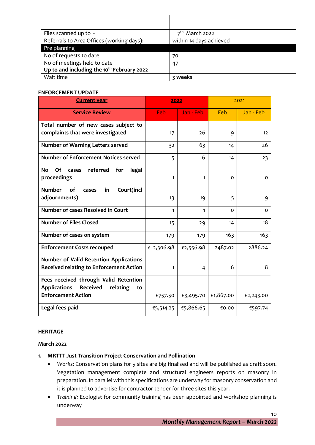| Files scanned up to -                                  | $7th$ March 2022        |
|--------------------------------------------------------|-------------------------|
| Referrals to Area Offices (working days):              | within 14 days achieved |
| Pre planning                                           |                         |
| No of requests to date                                 | 70                      |
| No of meetings held to date                            | 47                      |
| Up to and including the 10 <sup>th</sup> February 2022 |                         |
| Wait time                                              | 3 weeks                 |

#### **ENFORCEMENT UPDATE**

| <b>Current year</b>                                                                             | 2022       |           | 2021      |           |  |
|-------------------------------------------------------------------------------------------------|------------|-----------|-----------|-----------|--|
| <b>Service Review</b>                                                                           | Feb        | Jan - Feb | Feb       | Jan - Feb |  |
| Total number of new cases subject to                                                            |            |           |           |           |  |
| complaints that were investigated                                                               | 17         | 26        | 9         | 12        |  |
| <b>Number of Warning Letters served</b>                                                         | 32         | 63        | 14        | 26        |  |
| <b>Number of Enforcement Notices served</b>                                                     | 5          | 6         | 14        | 23        |  |
| referred<br>Of<br>No<br>for<br>cases<br>legal<br>proceedings                                    | 1          | 1         | 0         | 0         |  |
| <b>Number</b><br>Court(incl<br><b>of</b><br>in<br>cases<br>adjournments)                        | 13         | 19        | 5         | 9         |  |
| <b>Number of cases Resolved in Court</b>                                                        | 1          | 1         | $\Omega$  | $\Omega$  |  |
| <b>Number of Files Closed</b>                                                                   | 15         | 29        | 14        | 18        |  |
| Number of cases on system                                                                       | 179        | 179       | 163       | 163       |  |
| <b>Enforcement Costs recouped</b>                                                               | € 2,306.98 | €2,556.98 | 2487.02   | 2886.24   |  |
| <b>Number of Valid Retention Applications</b><br><b>Received relating to Enforcement Action</b> | 1          | 4         | 6         | 8         |  |
| Fees received through Valid Retention                                                           |            |           |           |           |  |
| <b>Received</b><br><b>Applications</b><br>relating<br>to<br><b>Enforcement Action</b>           | €757.50    | €3,495.70 | €1,867.00 | €2,243.00 |  |
| Legal fees paid                                                                                 | €5,514.25  | €5,866.65 | €0.00     | €597.74   |  |

#### **HERITAGE**

#### **March 2022**

## **1. MRTTT Just Transition Project Conservation and Pollination**

- *Works*: Conservation plans for 5 sites are big finalised and will be published as draft soon. Vegetation management complete and structural engineers reports on masonry in preparation. In parallel with this specifications are underway for masonry conservation and it is planned to advertise for contractor tender for three sites this year.
- *Training:* Ecologist for community training has been appointed and workshop planning is underway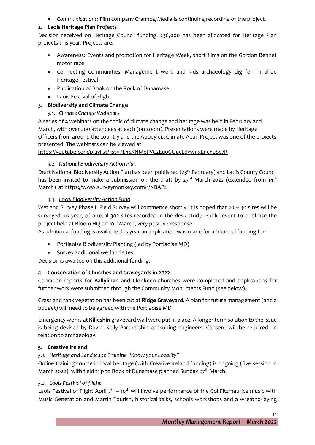• *Communications*: Film company Crannog Media is continuing recording of the project.

# **2. Laois Heritage Plan Projects**

Decision received on Heritage Council funding, €36,000 has been allocated for Heritage Plan projects this year. Projects are:

- Awareness: Events and promotion for Heritage Week, short films on the Gordon Bennet motor race
- Connecting Communities: Management work and kids archaeology dig for Timahoe Heritage Festival
- Publication of Book on the Rock of Dunamase
- Laois Festival of Flight

# **3. Biodiversity and Climate Change**

*3.1. Climate Change Webinars*

A series of 4 webinars on the topic of climate change and heritage was held in February and March, with over 200 attendees at each (on zoom). Presentations were made by Heritage Officers from around the country and the Abbeyleix Climate Actin Project was one of the projects presented. The webinars can be viewed at

# <https://youtube.com/playlist?list=PL4SXNMePVC2Eu0GUucLdywnxLncYuSc7R>

# *3.2. National Biodiversity Action Plan*

Draft National Biodiversity Action Plan has been published (23<sup>rd</sup> February) and Laois County Council has been invited to make a submission on the draft by  $23^{\text{rd}}$  March 2022 (extended from 14<sup>th</sup> March) at [https://www.surveymonkey.com/r/NBAP2](https://scanner.topsec.com/?d=1358&u=https%3A%2F%2Fwww.surveymonkey.com%2Fr%2FNBAP2&t=c51470cfc92bf85d704954947c7c7e3cbd5a240a&r=show)

# *3.3. [Local Biodiversity Action Fund](https://www.gov.ie/en/press-release/6c8f3-minister-malcolm-noonan-announces-135-million-for-local-authority-biodiversity-projects-on-world-wildlife-day/)*

Wetland Survey Phase II Field Survey will commence shortly, it is hoped that 20 - 30 sites will be surveyed his year, of a total 302 sites recorded in the desk study. Public event to publicise the project held at Bloom HQ on 10<sup>th</sup> March, very positive response.

As additional funding is available this year an application was made for additional funding for:

- Portlaoise Biodiversity Planting (led by Portlaoise MD)
- Survey additional wetland sites.

Decision is awaited on this additional funding.

# **4. Conservation of Churches and Graveyards in 2022**

Condition reports for **Ballylinan** and **Clonkeen** churches were completed and applications for further work were submitted through the Community Monuments Fund (see below).

Grass and rank vegetation has been cut at **Ridge Graveyard**. A plan for future management (and a budget) will need to be agreed with the Portlaoise MD.

Emergency works at **Killeshin** graveyard wall were put in place. A longer term solution to the issue is being devised by David Kelly Partnership consulting engineers. Consent will be required in relation to archaeology.

# **5. Creative Ireland**

# *5.1. Heritage and Landscape Training "Know your Locality"*

Online training course in local heritage (with Creative Ireland funding) is ongoing (five session in March 2022), with field trip to Rock of Dunamase planned Sunday  $27<sup>th</sup>$  March.

# *5.2. Laois Festival of flight*

Laois Festival of Flight April  $7<sup>th</sup> - 10<sup>th</sup>$  will involve performance of the Col Fitzmaurice music with Music Generation and Martin Tourish, historical talks, schools workshops and a wreath0-laying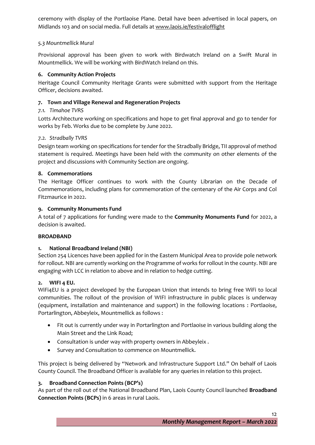ceremony with display of the Portlaoise Plane. Detail have been advertised in local papers, on Midlands 103 and on social media. Full details at [www.laois.ie/festivalofflight](http://www.laois.ie/festivalofflight)

## *5.3 Mountmellick Mural*

Provisional approval has been given to work with Birdwatch Ireland on a Swift Mural in Mountmellick. We will be working with BirdWatch Ireland on this.

## **6. Community Action Projects**

Heritage Council Community Heritage Grants were submitted with support from the Heritage Officer, decisions awaited.

## **7. Town and Village Renewal and Regeneration Projects**

## *7.1. Timahoe TVRS*

Lotts Architecture working on specifications and hope to get final approval and go to tender for works by Feb. Works due to be complete by June 2022.

## *7.2. Stradbally TVRS*

Design team working on specifications for tender for the Stradbally Bridge, TII approval of method statement is required. Meetings have been held with the community on other elements of the project and discussions with Community Section are ongoing.

#### **8. Commemorations**

The Heritage Officer continues to work with the County Librarian on the Decade of Commemorations, including plans for commemoration of the centenary of the Air Corps and Col Fitzmaurice in 2022.

#### **9. Community Monuments Fund**

A total of 7 applications for funding were made to the **Community Monuments Fund** for 2022, a decision is awaited.

#### **BROADBAND**

#### **1. National Broadband Ireland (NBI)**

Section 254 Licences have been applied for in the Eastern Municipal Area to provide pole network for rollout. NBI are currently working on the Programme of works for rollout in the county. NBI are engaging with LCC in relation to above and in relation to hedge cutting.

#### **2. WIFI 4 EU.**

WiFi4EU is a project developed by the European Union that intends to bring free WiFi to local communities. The rollout of the provision of WIFI infrastructure in public places is underway (equipment, installation and maintenance and support) in the following locations : Portlaoise, Portarlington, Abbeyleix, Mountmellick as follows :

- Fit out is currently under way in Portarlington and Portlaoise in various building along the Main Street and the Link Road;
- Consultation is under way with property owners in Abbeyleix .
- Survey and Consultation to commence on Mountmellick.

This project is being delivered by "Network and Infrastructure Support Ltd." On behalf of Laois County Council. The Broadband Officer is available for any queries in relation to this project.

# **3. Broadband Connection Points (BCP's)**

As part of the roll out of the National Broadband Plan, Laois County Council launched **Broadband Connection Points (BCPs)** in 6 areas in rural Laois.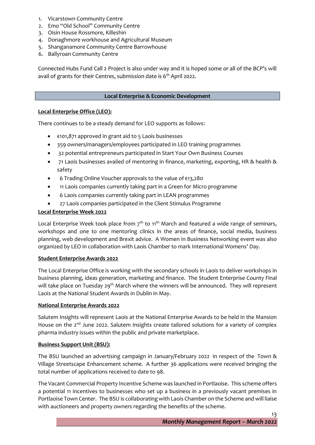- 1. Vicarstown Community Centre
- 2. Emo "Old School" Community Centre
- 3. Oisin House Rossmore, Killeshin
- 4. Donaghmore workhouse and Agricultural Museum
- 5. Shanganamore Community Centre Barrowhouse
- 6. Ballyroan Community Centre

Connected Hubs Fund Call 2 Project is also under way and it is hoped some or all of the BCP's will avail of grants for their Centres, submission date is 6<sup>th</sup> April 2022.

## **Local Enterprise & Economic Development**

## **Local Enterprise Office (LEO):**

There continues to be a steady demand for LEO supports as follows:

- €101,871 approved in grant aid to 5 Laois businesses
- 359 owners/managers/employees participated in LEO training programmes
- 32 potential entrepreneurs participated in Start Your Own Business Courses
- 71 Laois businesses availed of mentoring in finance, marketing, exporting, HR & health & safety
- 6 Trading Online Voucher approvals to the value of €13,280
- 11 Laois companies currently taking part in a Green for Micro programme
- 6 Laois companies currently taking part in LEAN programmes
- 27 Laois companies participated in the Client Stimulus Programme

## **Local Enterprise Week 2022**

Local Enterprise Week took place from  $7<sup>th</sup>$  to 11<sup>th</sup> March and featured a wide range of seminars, workshops and one to one mentoring clinics in the areas of finance, social media, business planning, web development and Brexit advice. A Women in Business Networking event was also organized by LEO in collaboration with Laois Chamber to mark International Womens' Day.

#### **Student Enterprise Awards 2022**

The Local Enterprise Office is working with the secondary schools in Laois to deliver workshops in business planning, ideas generation, marketing and finance. The Student Enterprise County Final will take place on Tuesday 29<sup>th</sup> March where the winners will be announced. They will represent Laois at the National Student Awards in Dublin in May.

# **National Enterprise Awards 2022**

Salutem Insights will represent Laois at the National Enterprise Awards to be held in the Mansion House on the 2<sup>nd</sup> June 2022. Salutem Insights create tailored solutions for a variety of complex pharma industry issues within the public and private marketplace.

# **Business Support Unit (BSU):**

The BSU launched an advertising campaign in January/February 2022 in respect of the Town & Village Streetscape Enhancement scheme. A further 36 applications were received bringing the total number of applications received to date to 98.

The Vacant Commercial Property Incentive Scheme was launched in Portlaoise. This scheme offers a potential 11 incentives to businesses who set up a business in a previously vacant premises in Portlaoise Town Center. The BSU is collaborating with Laois Chamber on the Scheme and will liaise with auctioneers and property owners regarding the benefits of the scheme.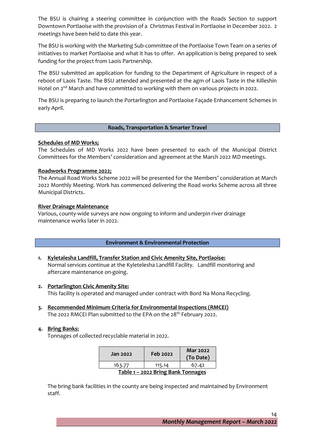The BSU is chairing a steering committee in conjunction with the Roads Section to support Downtown Portlaoise with the provision of a Christmas Festival in Portlaoise in December 2022. 2 meetings have been held to date this year.

The BSU is working with the Marketing Sub-committee of the Portlaoise Town Team on a series of initiatives to market Portlaoise and what it has to offer. An application is being prepared to seek funding for the project from Laois Partnership.

The BSU submitted an application for funding to the Department of Agriculture in respect of a reboot of Laois Taste. The BSU attended and presented at the agm of Laois Taste in the Killeshin Hotel on 2<sup>nd</sup> March and have committed to working with them on various projects in 2022.

The BSU is preparing to launch the Portarlington and Portlaoise Façade Enhancement Schemes in early April.

#### **Roads, Transportation & Smarter Travel**

#### **Schedules of MD Works;**

The Schedules of MD Works 2022 have been presented to each of the Municipal District Committees for the Members' consideration and agreement at the March 2022 MD meetings.

#### **Roadworks Programme 2022;**

The Annual Road Works Scheme 2022 will be presented for the Members' consideration at March 2022 Monthly Meeting. Work has commenced delivering the Road works Scheme across all three Municipal Districts.

#### **River Drainage Maintenance**

Various, county-wide surveys are now ongoing to inform and underpin river drainage maintenance works later in 2022.

#### **Environment & Environmental Protection**

- **1. Kyletalesha Landfill, Transfer Station and Civic Amenity Site, Portlaoise:** Normal services continue at the Kyletelesha Landfill Facility. Landfill monitoring and aftercare maintenance on-going.
- **2. Portarlington Civic Amenity Site:** This facility is operated and managed under contract with Bord Na Mona Recycling.
- **3. Recommended Minimum Criteria for Environmental Inspections (RMCEI)** The 2022 RMCEI Plan submitted to the EPA on the 28<sup>th</sup> February 2022.

#### **4. Bring Banks:**

Tonnages of collected recyclable material in 2022.

| Jan 2022                           | Feb 2022 | <b>Mar 2022</b><br>(To Date) |  |  |  |
|------------------------------------|----------|------------------------------|--|--|--|
| 163.77                             | 115.14   | 67.42                        |  |  |  |
| Table 1 - 2022 Bring Bank Tonnages |          |                              |  |  |  |

The bring bank facilities in the county are being inspected and maintained by Environment staff.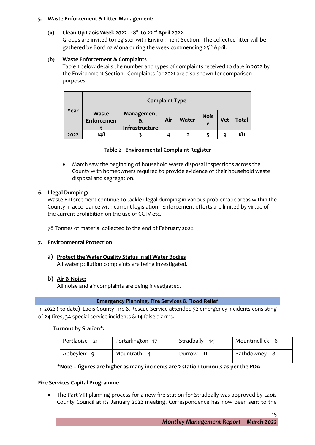#### **5. Waste Enforcement & Litter Management:**

## **(a) Clean Up Laois Week 2022 - 18th to 22nd April 2022.**

Groups are invited to register with Environment Section. The collected litter will be gathered by Bord na Mona during the week commencing 25<sup>th</sup> April.

## **(b) Waste Enforcement & Complaints**

Table 1 below details the number and types of complaints received to date in 2022 by the Environment Section. Complaints for 2021 are also shown for comparison purposes.

|      | <b>Complaint Type</b>      |                                          |     |              |                  |            |       |
|------|----------------------------|------------------------------------------|-----|--------------|------------------|------------|-------|
| Year | <b>Waste</b><br>Enforcemen | Management<br>&<br><u>Infrastructure</u> | Air | <b>Water</b> | <b>Nois</b><br>e | <b>Vet</b> | Total |
| 2022 | 148                        |                                          |     | 12           |                  | q          | 181   |

#### **Table 2 - Environmental Complaint Register**

• March saw the beginning of household waste disposal inspections across the County with homeowners required to provide evidence of their household waste disposal and segregation.

#### **6. Illegal Dumping:**

Waste Enforcement continue to tackle illegal dumping in various problematic areas within the County in accordance with current legislation. Enforcement efforts are limited by virtue of the current prohibition on the use of CCTV etc.

78 Tonnes of material collected to the end of February 2022.

#### **7. Environmental Protection**

**a) Protect the Water Quality Status in all Water Bodies** All water pollution complaints are being investigated.

# **b) Air & Noise:**

All noise and air complaints are being investigated.

#### **Emergency Planning, Fire Services & Flood Relief**

In 2022 ( to date) Laois County Fire & Rescue Service attended 52 emergency incidents consisting of 24 fires, 34 special service incidents & 14 false alarms.

#### **Turnout by Station\*:**

| Portlaoise – 21 | Portarlington - 17 | Stradbally $-14$ | Mountmellick – $8$ |
|-----------------|--------------------|------------------|--------------------|
| Abbeyleix - 9   | Mountrath $-4$     | Durrow $-11$     | Rathdowney – 8     |

#### **\*Note – figures are higher as many incidents are 2 station turnouts as per the PDA.**

#### **Fire Services Capital Programme**

• The Part VIII planning process for a new fire station for Stradbally was approved by Laois County Council at its January 2022 meeting. Correspondence has now been sent to the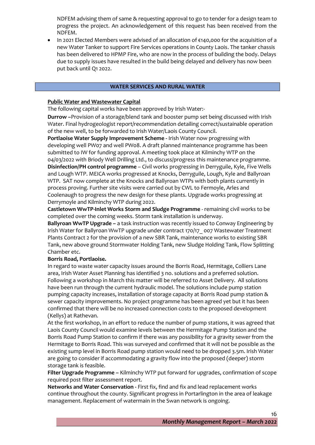NDFEM advising them of same & requesting approval to go to tender for a design team to progress the project. An acknowledgement of this request has been received from the NDFEM.

• In 2021 Elected Members were advised of an allocation of €140,000 for the acquisition of a new Water Tanker to support Fire Services operations in County Laois. The tanker chassis has been delivered to HPMP Fire, who are now in the process of building the body. Delays due to supply issues have resulted in the build being delayed and delivery has now been put back until Q1 2022.

#### **WATER SERVICES AND RURAL WATER**

#### **Public Water and Wastewater Capital**

The following capital works have been approved by Irish Water:-

**Durrow –**Provision of a storage/blend tank and booster pump set being discussed with Irish Water. Final hydrogeologist report/recommendation detailing correct/sustainable operation of the new well, to be forwarded to Irish Water/Laois County Council.

**Portlaoise Water Supply Improvement Scheme -** Irish Water now progressing with developing well PW07 and well PW08. A draft planned maintenance programme has been submitted to IW for funding approval. A meeting took place at Kilminchy WTP on the 04/03/2022 with Briody Well Drilling Ltd., to discuss/progress this maintenance programme. **Disinfection/PH control programme** – Civil works progressing in Derryguile, Kyle, Five Wells and Lough WTP. MEICA works progressed at Knocks, Derryguile, Lough, Kyle and Ballyroan WTP. SAT now complete at the Knocks and Ballyroan WTPs with both plants currently in process proving. Further site visits were carried out by CWL to Fermoyle, Arles and Coolenaugh to progress the new design for these plants. Upgrade works progressing at Derrymoyle and Kilminchy WTP during 2022.

**Castletown WwTP-Inlet Works Storm and Sludge Programme** - remaining civil works to be completed over the coming weeks. Storm tank installation is underway.

**Ballyroan WwTP Upgrade –** a task instruction was recently issued to Conway Engineering by Irish Water for Ballyroan WwTP upgrade under contract 170/17\_ 007 Wastewater Treatment Plants Contract 2 for the provision of a new SBR Tank, maintenance works to existing SBR Tank, new above ground Stormwater Holding Tank, new Sludge Holding Tank, Flow Splitting Chamber etc.

#### **Borris Road, Portlaoise.**

In regard to waste water capacity issues around the Borris Road, Hermitage, Colliers Lane area, Irish Water Asset Planning has identified 3 no. solutions and a preferred solution. Following a workshop in March this matter will be referred to Asset Delivery. All solutions have been run through the current hydraulic model. The solutions include pump station pumping capacity increases, installation of storage capacity at Borris Road pump station & sewer capacity improvements. No project programme has been agreed yet but it has been confirmed that there will be no increased connection costs to the proposed development (Kellys) at Rathevan.

At the first workshop, in an effort to reduce the number of pump stations, it was agreed that Laois County Council would examine levels between the Hermitage Pump Station and the Borris Road Pump Station to confirm if there was any possibility for a gravity sewer from the Hermitage to Borris Road. This was surveyed and confirmed that it will not be possible as the existing sump level in Borris Road pump station would need to be dropped 3.5m. Irish Water are going to consider if accommodating a gravity flow into the proposed (deeper) storm storage tank is feasible.

**Filter Upgrade Programme –** Kilminchy WTP put forward for upgrades, confirmation of scope required post filter assessment report.

**Networks and Water Conservation -** First fix, find and fix and lead replacement works continue throughout the county. Significant progress in Portarlington in the area of leakage management. Replacement of watermain in the Swan network is ongoing.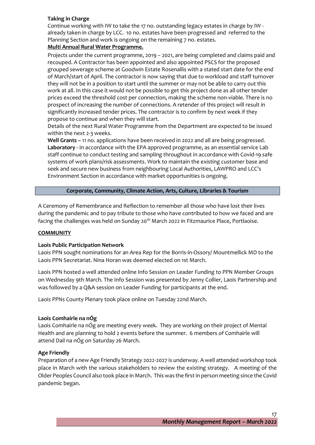## **Taking in Charge**

Continue working with IW to take the 17 no. outstanding legacy estates in charge by IW already taken in charge by LCC. 10 no. estates have been progressed and referred to the Planning Section and work is ongoing on the remaining 7 no. estates.

## **Multi Annual Rural Water Programme.**

Projects under the current programme, 2019 – 2021, are being completed and claims paid and recouped. A Contractor has been appointed and also appointed PSCS for the proposed grouped sewerage scheme at Goodwin Estate Rosenallis with a stated start date for the end of March/start of April. The contractor is now saying that due to workload and staff turnover they will not be in a position to start until the summer or may not be able to carry out this work at all. In this case it would not be possible to get this project done as all other tender prices exceed the threshold cost per connection, making the scheme non-viable. There is no prospect of increasing the number of connections. A retender of this project will result in significantly increased tender prices. The contractor is to confirm by next week if they propose to continue and when they will start.

Details of the next Rural Water Programme from the Department are expected to be issued within the next 2-3 weeks.

**Well Grants –** 11 no. applications have been received in 2022 and all are being progressed. **Laboratory -** In accordance with the EPA approved programme, as an essential service Lab staff continue to conduct testing and sampling throughout in accordance with Covid-19 safe systems of work plans/risk assessments. Work to maintain the existing customer base and seek and secure new business from neighbouring Local Authorities, LAWPRO and LCC's Environment Section in accordance with market opportunities is ongoing.

## **Corporate, Community, Climate Action, Arts, Culture, Libraries & Tourism**

A Ceremony of Remembrance and Reflection to remember all those who have lost their lives during the pandemic and to pay tribute to those who have contributed to how we faced and are facing the challenges was held on Sunday 20<sup>th</sup> March 2022 in Fitzmaurice Place, Portlaoise.

#### **COMMUNITY**

#### **Laois Public Participation Network**

Laois PPN sought nominations for an Area Rep for the Borris-in-Ossory/ Mountmellick MD to the Laois PPN Secretariat. Nina Horan was deemed elected on 1st March.

Laois PPN hosted a well attended online Info Session on Leader Funding to PPN Member Groups on Wednesday 9th March. The Info Session was presented by Jenny Collier, Laois Partnership and was followed by a Q&A session on Leader Funding for participants at the end.

Laois PPNs County Plenary took place online on Tuesday 22nd March.

#### **Laois Comhairle na nÓg**

Laois Comhairle na nÓg are meeting every week. They are working on their project of Mental Health and are planning to hold 2 events before the summer. 6 members of Comhairle will attend Dail na nÓg on Saturday 26 March.

#### **Age Friendly**

Preparation of a new Age Friendly Strategy 2022-2027 is underway. A well attended workshop took place in March with the various stakeholders to review the existing strategy. A meeting of the Older Peoples Council also took place in March. This was the first in person meeting since the Covid pandemic began.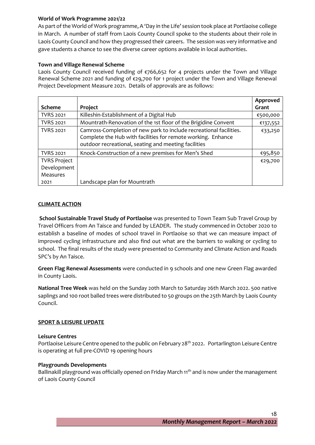## **World of Work Programme 2021/22**

As part of the World of Work programme, A 'Day in the Life' session took place at Portlaoise college in March. A number of staff from Laois County Council spoke to the students about their role in Laois County Council and how they progressed their careers. The session was very informative and gave students a chance to see the diverse career options available in local authorities.

## **Town and Village Renewal Scheme**

Laois County Council received funding of €766,652 for 4 projects under the Town and Village Renewal Scheme 2021 and funding of €29,700 for 1 project under the Town and Village Renewal Project Development Measure 2021. Details of approvals are as follows:

|                     |                                                                    | Approved |
|---------------------|--------------------------------------------------------------------|----------|
| <b>Scheme</b>       | Project                                                            | Grant    |
| <b>TVRS 2021</b>    | Killeshin-Establishment of a Digital Hub                           | €500,000 |
| <b>TVRS 2021</b>    | Mountrath-Renovation of the 1st floor of the Brigidine Convent     | €137,552 |
| <b>TVRS 2021</b>    | Camross-Completion of new park to include recreational facilities. | €33,250  |
|                     | Complete the Hub with facilities for remote working. Enhance       |          |
|                     | outdoor recreational, seating and meeting facilities               |          |
| <b>TVRS 2021</b>    | Knock-Construction of a new premises for Men's Shed                | €95,850  |
| <b>TVRS Project</b> |                                                                    | €29,700  |
| Development         |                                                                    |          |
| Measures            |                                                                    |          |
| 2021                | Landscape plan for Mountrath                                       |          |

#### **CLIMATE ACTION**

**School Sustainable Travel Study of Portlaoise** was presented to Town Team Sub Travel Group by Travel Officers from An Taisce and funded by LEADER. The study commenced in October 2020 to establish a baseline of modes of school travel in Portlaoise so that we can measure impact of improved cycling infrastructure and also find out what are the barriers to walking or cycling to school. The final results of the study were presented to Community and Climate Action and Roads SPC's by An Taisce.

**Green Flag Renewal Assessments** were conducted in 9 schools and one new Green Flag awarded in County Laois.

**National Tree Week** was held on the Sunday 20th March to Saturday 26th March 2022. 500 native saplings and 100 root balled trees were distributed to 50 groups on the 25th March by Laois County Council.

#### **SPORT & LEISURE UPDATE**

#### **Leisure Centres**

Portlaoise Leisure Centre opened to the public on February 28<sup>th</sup> 2022. Portarlington Leisure Centre is operating at full pre-COVID 19 opening hours

#### **Playgrounds Developments**

Ballinakill playground was officially opened on Friday March 11<sup>th</sup> and is now under the management of Laois County Council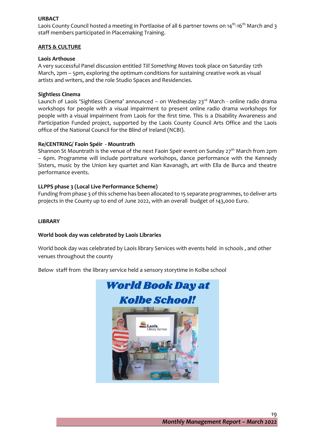## **URBACT**

Laois County Council hosted a meeting in Portlaoise of all 6 partner towns on 14<sup>th</sup>-16<sup>th</sup> March and 3 staff members participated in Placemaking Training.

#### **ARTS & CULTURE**

#### **Laois Arthouse**

A very successful Panel discussion entitled *Till Something Moves* took place on Saturday 12th March, 2pm – 5pm, exploring the optimum conditions for sustaining creative work as visual artists and writers, and the role Studio Spaces and Residencies.

#### **Sightless Cinema**

Launch of Laois 'Sightless Cinema' announced – on Wednesday 23rd March - online radio drama workshops for people with a visual impairment to present online radio drama workshops for people with a visual impairment from Laois for the first time. This is a Disability Awareness and Participation Funded project, supported by the Laois County Council Arts Office and the Laois office of the National Council for the Blind of Ireland (NCBI).

#### **Re/CENTRING/ Faoin Spéir - Mountrath**

Shannon St Mountrath is the venue of the next Faoin Speir event on Sunday  $27<sup>th</sup>$  March from 2pm – 6pm. Programme will include portraiture workshops, dance performance with the Kennedy Sisters, music by the Union key quartet and Kian Kavanagh, art with Ella de Burca and theatre performance events.

#### **LLPPS phase 3 (Local Live Performance Scheme)**

Funding from phase 3 of this scheme has been allocated to 15 separate programmes, to deliver arts projects in the County up to end of June 2022, with an overall budget of 143,000 Euro.

#### **LIBRARY**

#### **World book day was celebrated by Laois Libraries**

World book day was celebrated by Laois library Services with events held in schools , and other venues throughout the county

Below staff from the library service held a sensory storytime in Kolbe school

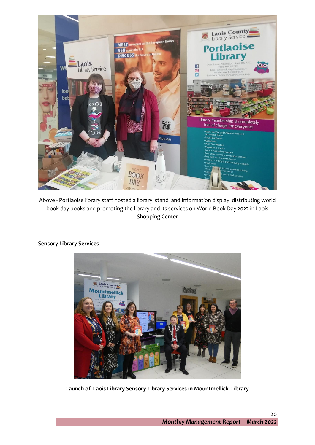

Above - Portlaoise library staff hosted a library stand and Information display distributing world book day books and promoting the library and its services on World Book Day 2022 in Laois Shopping Center



#### **Sensory Library Services**

**Launch of Laois Library Sensory Library Services in Mountmellick Library**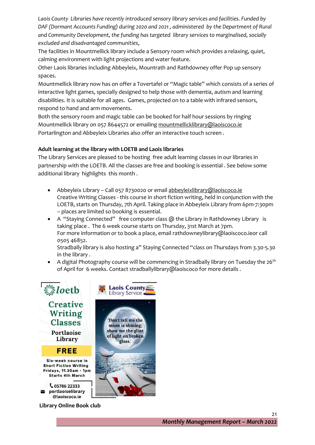*Laois County Libraries have recently introduced sensory library services and facilities. Funded by DAF (Dormant Accounts Funding) during 2020 and 2021 , administered by the Department of Rural and Community Development, the funding has targeted library services to marginalised, socially excluded and disadvantaged communities*,

The facilities in Mountmellick library include a Sensory room which provides a relaxing, quiet, calming environment with light projections and water feature.

Other Laois libraries including Abbeyleix, Mountrath and Rathdowney offer Pop up sensory spaces.

Mountmellick library now has on offer a Tovertafel or "Magic table" which consists of a series of interactive light games, specially designed to help those with dementia, autism and learning disabilities. It is suitable for all ages. Games, projected on to a table with infrared sensors, respond to hand and arm movements.

Both the sensory room and magic table can be booked for half hour sessions by ringing Mountmellick library on 057 8644572 or emailin[g mountmellicklibrary@laoiscoco.ie](mailto:mountmellicklibrary@laoiscoco.ie) Portarlington and Abbeyleix Libraries also offer an interactive touch screen .

# **Adult learning at the library with LOETB and Laois libraries**

The Library Services are pleased to be hosting free adult learning classes in our libraries in partnership with the LOETB. All the classes are free and booking is essential . See below some additional library highlights this month .

- Abbeyleix Library Call 057 8730020 or emai[l abbeyleixlibrary@laoiscoco.ie](mailto:abbeyleixlibrary@laoiscoco.ie) Creative Writing Classes - this course in short fiction writing, held in conjunction with the LOETB, starts on Thursday, 7th April. Taking place in Abbeyleix Library from 6pm-7:30pm – places are limited so booking is essential.
- A "Staying Connected" free computer class  $\omega$  the Library in Rathdowney Library is taking place . The 6 week course starts on Thursday, 31st March at 7pm. For more information or to book a place, email rathdowneylibrary@laoiscoco.ieor call 0505 46852.

Stradbally library is also hosting a" Staying Connected "class on Thursdays from 3.30-5.30 in the library .

A digital Photography course will be commencing in Stradbally library on Tuesday the 26<sup>th</sup> of April for 6 weeks. Contact stradballylibrary@laoiscoco for more details .